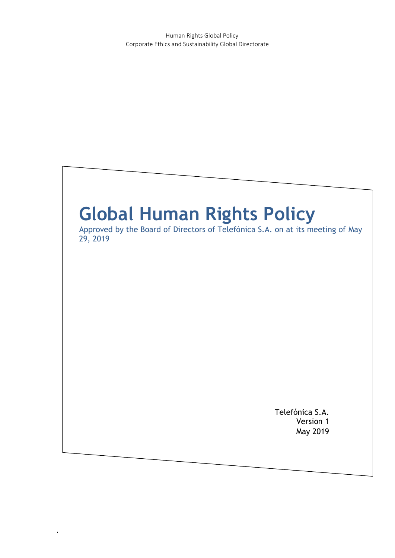# **Global Human Rights Policy**

.

Approved by the Board of Directors of Telefónica S.A. on at its meeting of May 29, 2019

> Telefónica S.A. Version 1 May 2019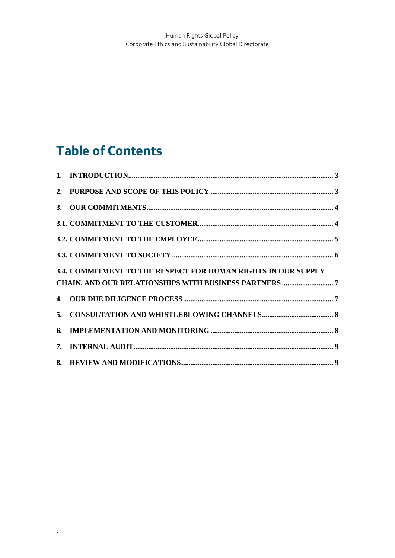#### **Table of Contents**

|    | 3.4. COMMITMENT TO THE RESPECT FOR HUMAN RIGHTS IN OUR SUPPLY |  |
|----|---------------------------------------------------------------|--|
|    |                                                               |  |
|    |                                                               |  |
| 5. |                                                               |  |
| 6. |                                                               |  |
|    |                                                               |  |
|    |                                                               |  |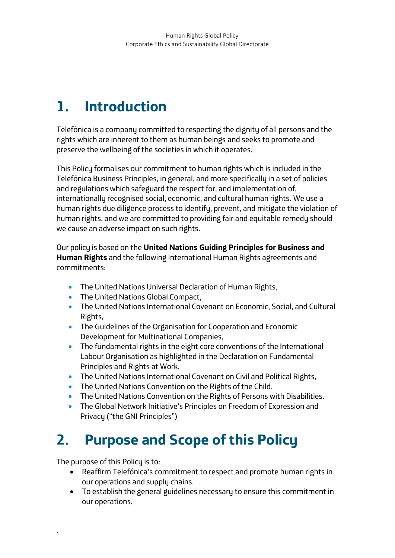## <span id="page-2-0"></span>**1. Introduction**

Telefónica is a company committed to respecting the dignity of all persons and the rights which are inherent to them as human beings and seeks to promote and preserve the wellbeing of the societies in which it operates.

This Policy formalises our commitment to human rights which is included in the Telefónica Business Principles, in general, and more specifically in a set of policies and regulations which safeguard the respect for, and implementation of, internationally recognised social, economic, and cultural human rights. We use a human rights due diligence process to identify, prevent, and mitigate the violation of human rights, and we are committed to providing fair and equitable remedy should we cause an adverse impact on such rights.

Our policy is based on the **United Nations Guiding Principles for Business and Human Rights** and the following International Human Rights agreements and commitments:

- **•** The United Nations Universal Declaration of Human Rights,
- The United Nations Global Compact,
- The United Nations International Covenant on Economic, Social, and Cultural Rights,
- The Guidelines of the Organisation for Cooperation and Economic Development for Multinational Companies,
- The fundamental rights in the eight core conventions of the International Labour Organisation as highlighted in the Declaration on Fundamental Principles and Rights at Work,
- The United Nations International Covenant on Civil and Political Rights,
- The United Nations Convention on the Rights of the Child,
- The United Nations Convention on the Rights of Persons with Disabilities.
- The Global Network Initiative's Principles on Freedom of Expression and Privacy ("the GNI Principles")

## <span id="page-2-1"></span>**2. Purpose and Scope of this Policy**

The purpose of this Policy is to:

- Reaffirm Telefónica's commitment to respect and promote human rights in our operations and supply chains.
- To establish the general guidelines necessary to ensure this commitment in our operations.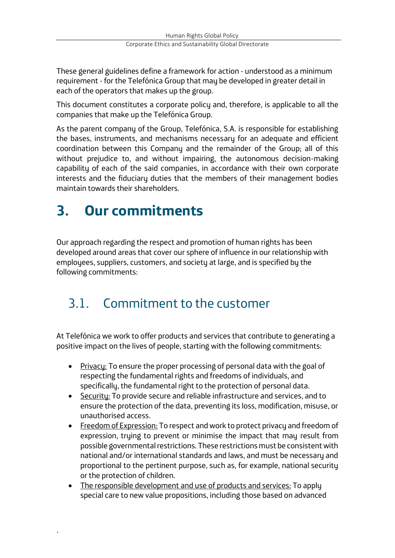These general guidelines define a framework for action - understood as a minimum requirement - for the Telefónica Group that may be developed in greater detail in each of the operators that makes up the group.

This document constitutes a corporate policy and, therefore, is applicable to all the companies that make up the Telefónica Group.

As the parent company of the Group, Telefónica, S.A. is responsible for establishing the bases, instruments, and mechanisms necessary for an adequate and efficient coordination between this Company and the remainder of the Group; all of this without prejudice to, and without impairing, the autonomous decision-making capability of each of the said companies, in accordance with their own corporate interests and the fiduciary duties that the members of their management bodies maintain towards their shareholders.

# <span id="page-3-0"></span>**3. Our commitments**

.

Our approach regarding the respect and promotion of human rights has been developed around areas that cover our sphere of influence in our relationship with employees, suppliers, customers, and society at large, and is specified by the following commitments:

#### <span id="page-3-1"></span>3.1. Commitment to the customer

At Telefónica we work to offer products and services that contribute to generating a positive impact on the lives of people, starting with the following commitments:

- Privacy: To ensure the proper processing of personal data with the goal of respecting the fundamental rights and freedoms of individuals, and specifically, the fundamental right to the protection of personal data.
- Security: To provide secure and reliable infrastructure and services, and to ensure the protection of the data, preventing its loss, modification, misuse, or unauthorised access.
- Freedom of Expression: To respect and work to protect privacy and freedom of expression, trying to prevent or minimise the impact that may result from possible governmental restrictions. These restrictions must be consistent with national and/or international standards and laws, and must be necessary and proportional to the pertinent purpose, such as, for example, national security or the protection of children.
- The responsible development and use of products and services: To apply special care to new value propositions, including those based on advanced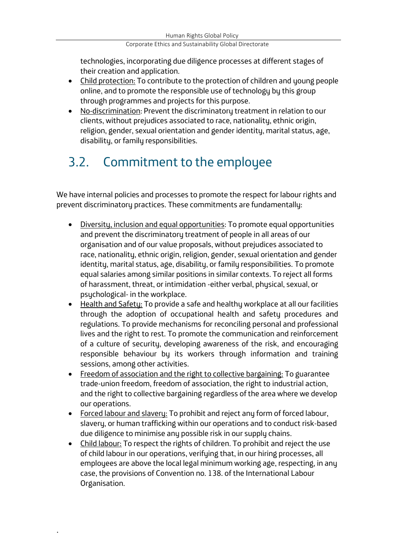Corporate Ethics and Sustainability Global Directorate

technologies, incorporating due diligence processes at different stages of their creation and application.

- Child protection: To contribute to the protection of children and young people online, and to promote the responsible use of technologu by this group through programmes and projects for this purpose.
- No-discrimination: Prevent the discriminatory treatment in relation to our clients, without prejudices associated to race, nationality, ethnic origin, religion, gender, sexual orientation and gender identity, marital status, age, disability, or family responsibilities.

#### <span id="page-4-0"></span>3.2. Commitment to the employee

We have internal policies and processes to promote the respect for labour rights and prevent discriminatory practices. These commitments are fundamentally:

- Diversity, inclusion and equal opportunities: To promote equal opportunities and prevent the discriminatory treatment of people in all areas of our organisation and of our value proposals, without prejudices associated to race, nationality, ethnic origin, religion, gender, sexual orientation and gender identity, marital status, age, disability, or family responsibilities. To promote equal salaries among similar positions in similar contexts. To reject all forms of harassment, threat, or intimidation -either verbal, physical, sexual, or psychological- in the workplace.
- Health and Safety: To provide a safe and healthy workplace at all our facilities through the adoption of occupational health and safety procedures and regulations. To provide mechanisms for reconciling personal and professional lives and the right to rest. To promote the communication and reinforcement of a culture of security, developing awareness of the risk, and encouraging responsible behaviour by its workers through information and training sessions, among other activities.
- Freedom of association and the right to collective bargaining: To guarantee trade-union freedom, freedom of association, the right to industrial action, and the right to collective bargaining regardless of the area where we develop our operations.
- Forced labour and slavery: To prohibit and reject any form of forced labour, slavery, or human trafficking within our operations and to conduct risk-based due diligence to minimise any possible risk in our supply chains.
- Child labour: To respect the rights of children. To prohibit and reject the use of child labour in our operations, verifying that, in our hiring processes, all employees are above the local legal minimum working age, respecting, in any case, the provisions of Convention no. 138. of the International Labour Organisation.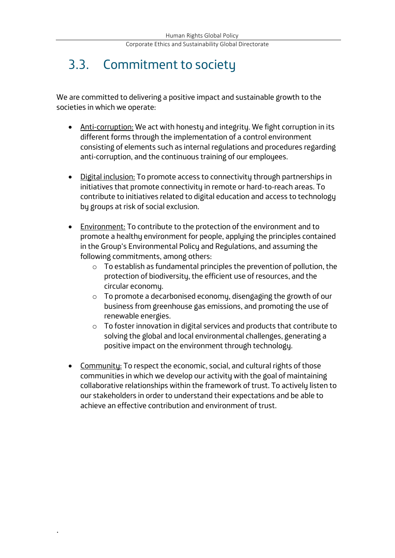#### <span id="page-5-0"></span>3.3. Commitment to society

We are committed to delivering a positive impact and sustainable growth to the societies in which we operate:

- Anti-corruption: We act with honesty and integrity. We fight corruption in its different forms through the implementation of a control environment consisting of elements such as internal regulations and procedures regarding anti-corruption, and the continuous training of our employees.
- Digital inclusion: To promote access to connectivity through partnerships in initiatives that promote connectivity in remote or hard-to-reach areas. To contribute to initiatives related to digital education and access to technology by groups at risk of social exclusion.
- Environment: To contribute to the protection of the environment and to promote a healthy environment for people, applying the principles contained in the Group's Environmental Policy and Regulations, and assuming the following commitments, among others:
	- o To establish as fundamental principles the prevention of pollution, the protection of biodiversity, the efficient use of resources, and the circular economy.
	- o To promote a decarbonised economy, disengaging the growth of our business from greenhouse gas emissions, and promoting the use of renewable energies.
	- o To foster innovation in digital services and products that contribute to solving the global and local environmental challenges, generating a positive impact on the environment through technology.
- Community: To respect the economic, social, and cultural rights of those communities in which we develop our activity with the goal of maintaining collaborative relationships within the framework of trust. To actively listen to our stakeholders in order to understand their expectations and be able to achieve an effective contribution and environment of trust.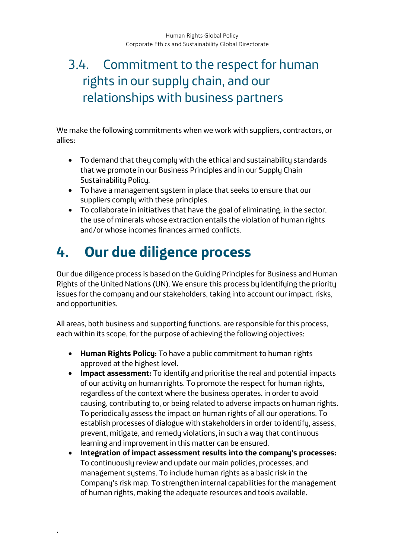#### <span id="page-6-0"></span>3.4. Commitment to the respect for human rights in our supply chain, and our relationships with business partners

We make the following commitments when we work with suppliers, contractors, or allies:

- To demand that they comply with the ethical and sustainability standards that we promote in our Business Principles and in our Supply Chain Sustainability Policy.
- To have a management system in place that seeks to ensure that our suppliers comply with these principles.
- To collaborate in initiatives that have the goal of eliminating, in the sector, the use of minerals whose extraction entails the violation of human rights and/or whose incomes finances armed conflicts.

# <span id="page-6-1"></span>**4. Our due diligence process**

.

Our due diligence process is based on the Guiding Principles for Business and Human Rights of the United Nations (UN). We ensure this process by identifying the priority issues for the company and our stakeholders, taking into account our impact, risks, and opportunities.

All areas, both business and supporting functions, are responsible for this process, each within its scope, for the purpose of achieving the following objectives:

- **Human Rights Policy:** To have a public commitment to human rights approved at the highest level.
- **Impact assessment:** To identify and prioritise the real and potential impacts of our activity on human rights. To promote the respect for human rights, regardless of the context where the business operates, in order to avoid causing, contributing to, or being related to adverse impacts on human rights. To periodically assess the impact on human rights of all our operations. To establish processes of dialogue with stakeholders in order to identify, assess, prevent, mitigate, and remedy violations, in such a way that continuous learning and improvement in this matter can be ensured.
- **Integration of impact assessment results into the company's processes:**  To continuously review and update our main policies, processes, and management systems. To include human rights as a basic risk in the Company's risk map. To strengthen internal capabilities for the management of human rights, making the adequate resources and tools available.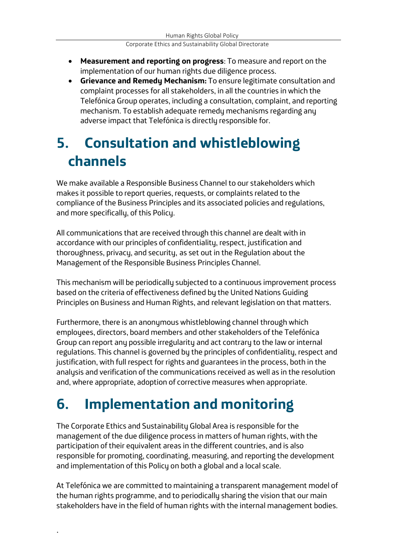- **Measurement and reporting on progress**: To measure and report on the implementation of our human rights due diligence process.
- **Grievance and Remedy Mechanism:** To ensure legitimate consultation and complaint processes for all stakeholders, in all the countries in which the Telefónica Group operates, including a consultation, complaint, and reporting mechanism. To establish adequate remedy mechanisms regarding any adverse impact that Telefónica is directlu responsible for.

### <span id="page-7-0"></span>**5. Consultation and whistleblowing channels**

We make available a Responsible Business Channel to our stakeholders which makes it possible to report queries, requests, or complaints related to the compliance of the Business Principles and its associated policies and regulations, and more specifically, of this Policy.

All communications that are received through this channel are dealt with in accordance with our principles of confidentiality, respect, justification and thoroughness, privacy, and security, as set out in the Regulation about the Management of the Responsible Business Principles Channel.

This mechanism will be periodically subjected to a continuous improvement process based on the criteria of effectiveness defined by the United Nations Guiding Principles on Business and Human Rights, and relevant legislation on that matters.

Furthermore, there is an anonymous whistleblowing channel through which employees, directors, board members and other stakeholders of the Telefónica Group can report any possible irregularity and act contrary to the law or internal regulations. This channel is governed by the principles of confidentiality, respect and justification, with full respect for rights and guarantees in the process, both in the analysis and verification of the communications received as well as in the resolution and, where appropriate, adoption of corrective measures when appropriate.

## <span id="page-7-1"></span>**6. Implementation and monitoring**

.

The Corporate Ethics and Sustainability Global Area is responsible for the management of the due diligence process in matters of human rights, with the participation of their equivalent areas in the different countries, and is also responsible for promoting, coordinating, measuring, and reporting the development and implementation of this Policy on both a global and a local scale.

At Telefónica we are committed to maintaining a transparent management model of the human rights programme, and to periodically sharing the vision that our main stakeholders have in the field of human rights with the internal management bodies.